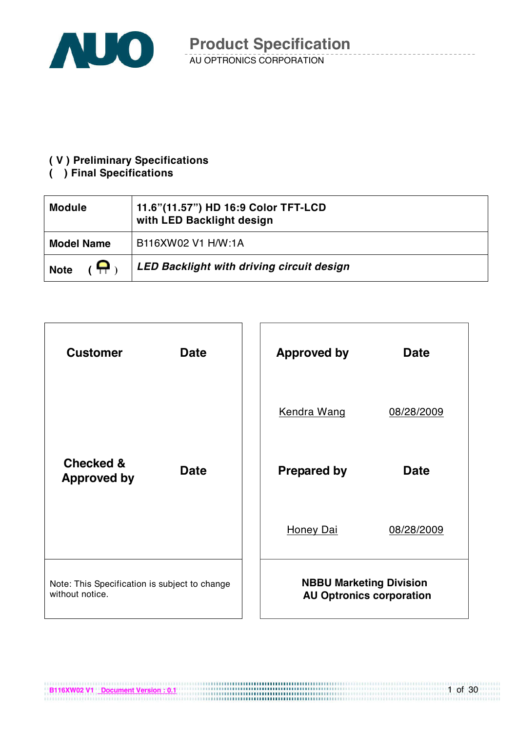

#### **( V ) Preliminary Specifications**

#### **( ) Final Specifications**

**B116XW02 V1 Document Version : 0.1**

| <b>Module</b>     | 11.6"(11.57") HD 16:9 Color TFT-LCD<br>with LED Backlight design |
|-------------------|------------------------------------------------------------------|
| <b>Model Name</b> | B116XW02 V1 H/W:1A                                               |
| <b>Note</b>       | <b>LED Backlight with driving circuit design</b>                 |



1 of 30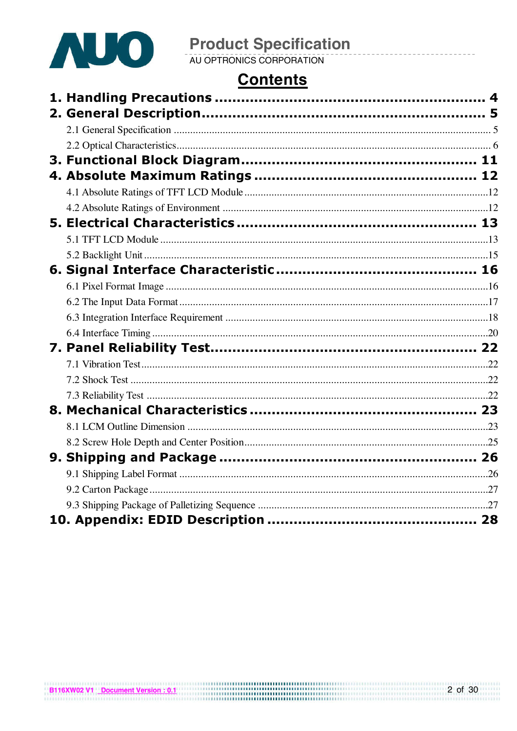

# **Product Specification**<br>AU OPTRONICS CORPORATION

# **Contents**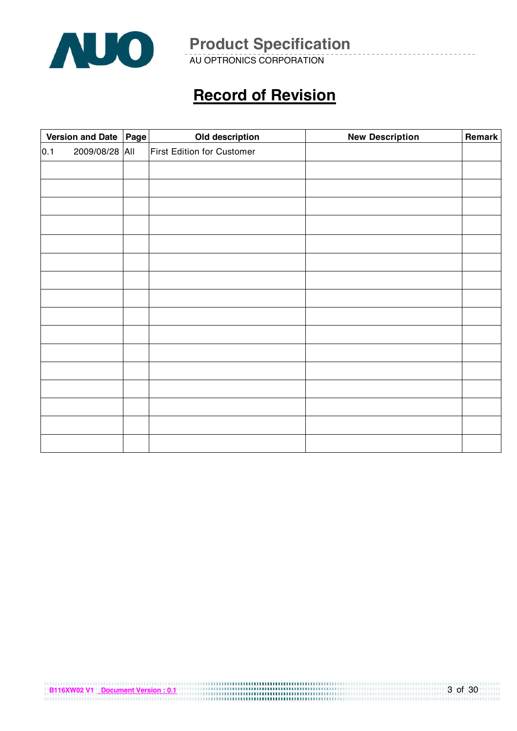

AU OPTRONICS CORPORATION

# **Record of Revision**

|     | Version and Date   Page |  | Old description            | <b>New Description</b> | Remark |
|-----|-------------------------|--|----------------------------|------------------------|--------|
| 0.1 | 2009/08/28 All          |  | First Edition for Customer |                        |        |
|     |                         |  |                            |                        |        |
|     |                         |  |                            |                        |        |
|     |                         |  |                            |                        |        |
|     |                         |  |                            |                        |        |
|     |                         |  |                            |                        |        |
|     |                         |  |                            |                        |        |
|     |                         |  |                            |                        |        |
|     |                         |  |                            |                        |        |
|     |                         |  |                            |                        |        |
|     |                         |  |                            |                        |        |
|     |                         |  |                            |                        |        |
|     |                         |  |                            |                        |        |
|     |                         |  |                            |                        |        |
|     |                         |  |                            |                        |        |
|     |                         |  |                            |                        |        |
|     |                         |  |                            |                        |        |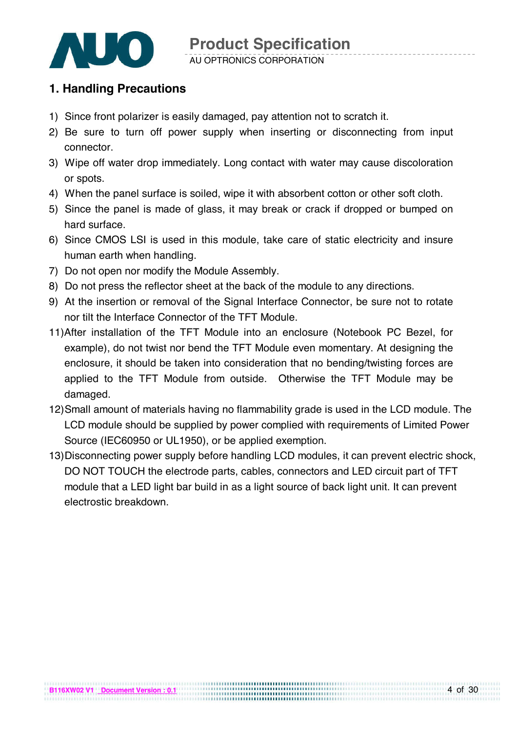

### **1. Handling Precautions**

- 1) Since front polarizer is easily damaged, pay attention not to scratch it.
- 2) Be sure to turn off power supply when inserting or disconnecting from input connector.
- 3) Wipe off water drop immediately. Long contact with water may cause discoloration or spots.
- 4) When the panel surface is soiled, wipe it with absorbent cotton or other soft cloth.
- 5) Since the panel is made of glass, it may break or crack if dropped or bumped on hard surface.
- 6) Since CMOS LSI is used in this module, take care of static electricity and insure human earth when handling.
- 7) Do not open nor modify the Module Assembly.
- 8) Do not press the reflector sheet at the back of the module to any directions.
- 9) At the insertion or removal of the Signal Interface Connector, be sure not to rotate nor tilt the Interface Connector of the TFT Module.
- 11)After installation of the TFT Module into an enclosure (Notebook PC Bezel, for example), do not twist nor bend the TFT Module even momentary. At designing the enclosure, it should be taken into consideration that no bending/twisting forces are applied to the TFT Module from outside. Otherwise the TFT Module may be damaged.
- 12) Small amount of materials having no flammability grade is used in the LCD module. The LCD module should be supplied by power complied with requirements of Limited Power Source (IEC60950 or UL1950), or be applied exemption.
- 13) Disconnecting power supply before handling LCD modules, it can prevent electric shock, DO NOT TOUCH the electrode parts, cables, connectors and LED circuit part of TFT module that a LED light bar build in as a light source of back light unit. It can prevent electrostic breakdown.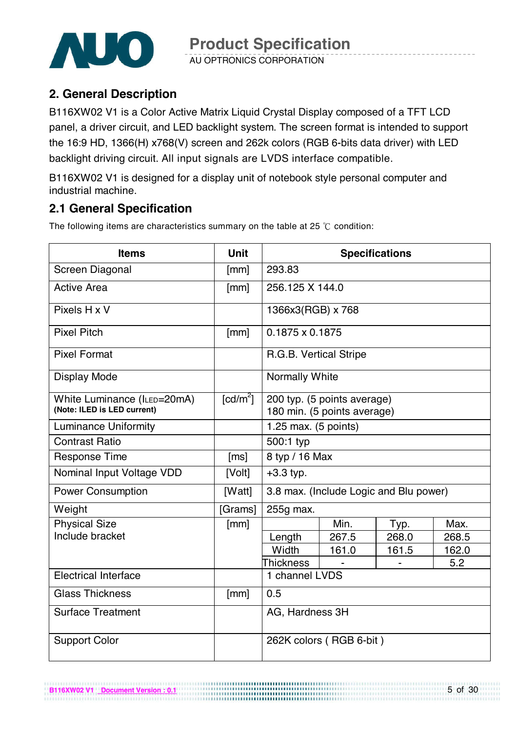

### **2. General Description**

B116XW02 V1 is a Color Active Matrix Liquid Crystal Display composed of a TFT LCD panel, a driver circuit, and LED backlight system. The screen format is intended to support the 16:9 HD, 1366(H) x768(V) screen and 262k colors (RGB 6-bits data driver) with LED backlight driving circuit. All input signals are LVDS interface compatible.

B116XW02 V1 is designed for a display unit of notebook style personal computer and industrial machine.

### **2.1 General Specification**

**B116XW02 V1 Document Version : 0.1**

The following items are characteristics summary on the table at 25  $\degree$ C condition:

| <b>Items</b>                                               | <b>Unit</b>                         | <b>Specifications</b>                                      |                                        |       |       |  |
|------------------------------------------------------------|-------------------------------------|------------------------------------------------------------|----------------------------------------|-------|-------|--|
| Screen Diagonal                                            | [mm]                                | 293.83                                                     |                                        |       |       |  |
| <b>Active Area</b>                                         | [mm]                                | 256.125 X 144.0                                            |                                        |       |       |  |
| Pixels H x V                                               |                                     | 1366x3(RGB) x 768                                          |                                        |       |       |  |
| <b>Pixel Pitch</b>                                         | [mm]                                | $0.1875 \times 0.1875$                                     |                                        |       |       |  |
| <b>Pixel Format</b>                                        |                                     | R.G.B. Vertical Stripe                                     |                                        |       |       |  |
| <b>Display Mode</b>                                        |                                     | Normally White                                             |                                        |       |       |  |
| White Luminance (ILED=20mA)<br>(Note: ILED is LED current) | $\lceil$ cd/m <sup>2</sup> $\rceil$ | 200 typ. (5 points average)<br>180 min. (5 points average) |                                        |       |       |  |
| <b>Luminance Uniformity</b>                                |                                     | 1.25 max. $(5$ points)                                     |                                        |       |       |  |
| <b>Contrast Ratio</b>                                      |                                     | 500:1 typ                                                  |                                        |       |       |  |
| <b>Response Time</b>                                       | [ms]                                | 8 typ / 16 Max                                             |                                        |       |       |  |
| Nominal Input Voltage VDD                                  | [Volt]                              | $+3.3$ typ.                                                |                                        |       |       |  |
| <b>Power Consumption</b>                                   | [Watt]                              |                                                            | 3.8 max. (Include Logic and Blu power) |       |       |  |
| Weight                                                     | [Grams]                             | 255g max.                                                  |                                        |       |       |  |
| <b>Physical Size</b>                                       | [mm]                                |                                                            | Min.                                   | Typ.  | Max.  |  |
| Include bracket                                            |                                     | Length                                                     | 267.5                                  | 268.0 | 268.5 |  |
|                                                            |                                     | Width                                                      | 161.0                                  | 161.5 | 162.0 |  |
|                                                            |                                     | <b>Thickness</b>                                           |                                        |       | 5.2   |  |
| <b>Electrical Interface</b>                                |                                     | 1 channel LVDS                                             |                                        |       |       |  |
| <b>Glass Thickness</b>                                     | [mm]                                | 0.5                                                        |                                        |       |       |  |
| <b>Surface Treatment</b>                                   |                                     | AG, Hardness 3H                                            |                                        |       |       |  |
| <b>Support Color</b>                                       |                                     |                                                            | 262K colors (RGB 6-bit)                |       |       |  |

...............................

5 of 30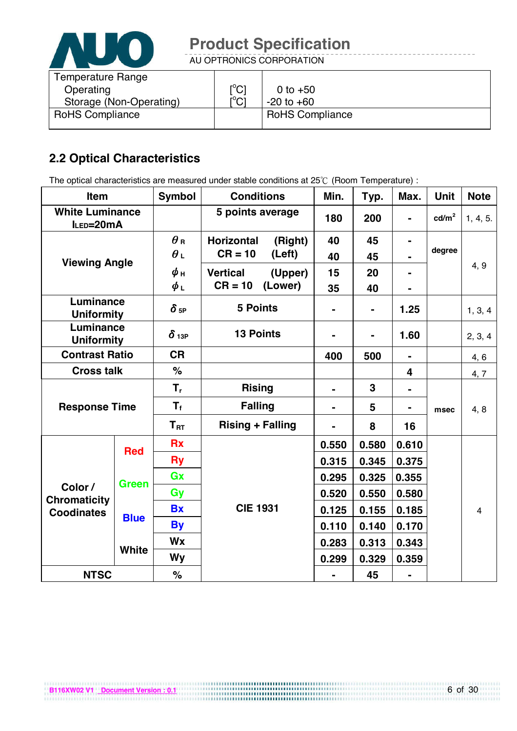

AU OPTRONICS CORPORATION

| <b>Temperature Range</b><br>Operating | $\mathop{\rm l}{\rm ^oC}$               | 0 to $+50$             |
|---------------------------------------|-----------------------------------------|------------------------|
| Storage (Non-Operating)               | $\mathsf{I}^\circ\mathsf{C} \mathsf{I}$ | $-20$ to $+60$         |
| <b>RoHS Compliance</b>                |                                         | <b>RoHS Compliance</b> |

# **2.2 Optical Characteristics**

The optical characteristics are measured under stable conditions at 25°C (Room Temperature) :

| Item                                |              | <b>Symbol</b>           | <b>Conditions</b>            | Min.           | Typ.           | Max.                    | <b>Unit</b>     | <b>Note</b>    |
|-------------------------------------|--------------|-------------------------|------------------------------|----------------|----------------|-------------------------|-----------------|----------------|
| <b>White Luminance</b><br>ILED=20mA |              |                         | 5 points average             | 180            | 200            | $\blacksquare$          | $\text{cd/m}^2$ | 1, 4, 5.       |
| <b>Viewing Angle</b>                |              | $\theta_{\rm R}$        | <b>Horizontal</b><br>(Right) | 40             | 45             |                         |                 |                |
|                                     |              | $\theta$ L              | $CR = 10$<br>(Left)          | 40             | 45             |                         | degree          |                |
|                                     |              | $\phi$ н                | <b>Vertical</b><br>(Upper)   | 15             | 20             |                         |                 | 4, 9           |
|                                     |              | ψL                      | $CR = 10$<br>(Lower)         | 35             | 40             |                         |                 |                |
| Luminance<br><b>Uniformity</b>      |              | $\delta$ 5P             | <b>5 Points</b>              |                | $\blacksquare$ | 1.25                    |                 | 1, 3, 4        |
| Luminance<br><b>Uniformity</b>      |              | $\delta$ 13P            | <b>13 Points</b>             |                | $\blacksquare$ | 1.60                    |                 | 2, 3, 4        |
| <b>Contrast Ratio</b>               |              | <b>CR</b>               |                              | 400            | 500            |                         |                 | 4, 6           |
| <b>Cross talk</b>                   |              | $\%$                    |                              |                |                | $\overline{\mathbf{4}}$ |                 | 4, 7           |
| <b>Response Time</b>                |              | $T_{r}$                 | <b>Rising</b>                | $\blacksquare$ | 3              |                         |                 |                |
|                                     |              | $\mathsf{T}_\mathsf{f}$ | <b>Falling</b>               | $\blacksquare$ | 5              |                         | msec            | 4, 8           |
|                                     |              | $T_{\rm RT}$            | <b>Rising + Falling</b>      | $\blacksquare$ | 8              | 16                      |                 |                |
|                                     | <b>Red</b>   | <b>Rx</b>               |                              | 0.550          | 0.580          | 0.610                   |                 |                |
|                                     |              | <b>Ry</b>               |                              | 0.315          | 0.345          | 0.375                   |                 |                |
|                                     | <b>Green</b> | Gx                      |                              | 0.295          | 0.325          | 0.355                   |                 |                |
| Color /<br><b>Chromaticity</b>      |              | Gy                      |                              | 0.520          | 0.550          | 0.580                   |                 |                |
| <b>Coodinates</b>                   | <b>Blue</b>  | <b>Bx</b>               | <b>CIE 1931</b>              | 0.125          | 0.155          | 0.185                   |                 | $\overline{4}$ |
|                                     |              | <b>By</b>               |                              | 0.110          | 0.140          | 0.170                   |                 |                |
|                                     |              | Wx                      |                              | 0.283          | 0.313          | 0.343                   |                 |                |
|                                     | <b>White</b> | Wy                      |                              | 0.299          | 0.329          | 0.359                   |                 |                |
| <b>NTSC</b>                         |              | %                       |                              |                | 45             |                         |                 |                |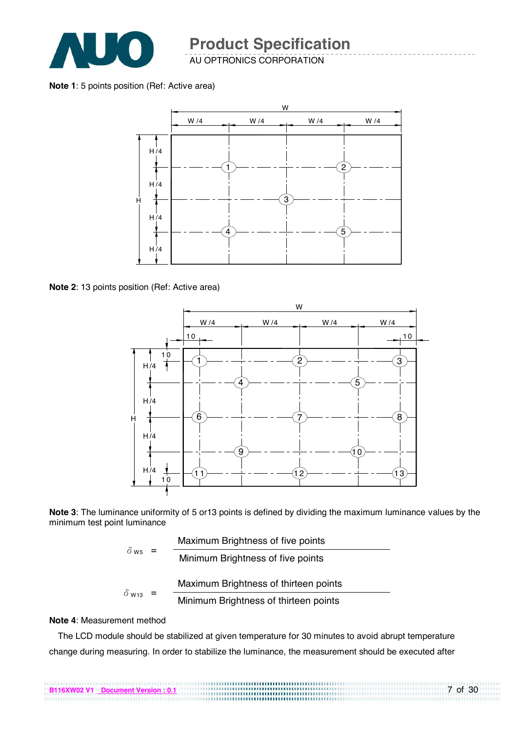

#### **Note 1**: 5 points position (Ref: Active area)



**Note 2**: 13 points position (Ref: Active area)



**Note 3**: The luminance uniformity of 5 or13 points is defined by dividing the maximum luminance values by the minimum test point luminance

|                          |     | Maximum Brightness of five points     |
|--------------------------|-----|---------------------------------------|
| $\delta$ w <sub>5</sub>  | $=$ | Minimum Brightness of five points     |
|                          |     | Maximum Brightness of thirteen points |
| $\delta$ W <sub>13</sub> |     | Minimum Brightness of thirteen points |

#### **Note 4**: Measurement method

The LCD module should be stabilized at given temperature for 30 minutes to avoid abrupt temperature change during measuring. In order to stabilize the luminance, the measurement should be executed after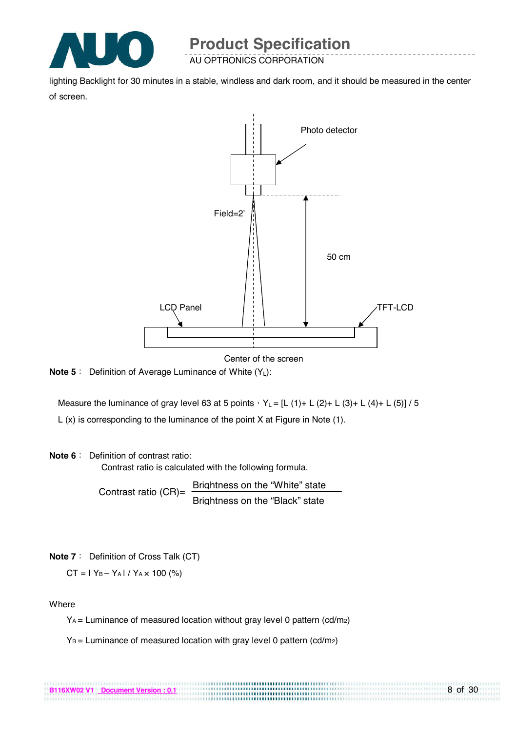

lighting Backlight for 30 minutes in a stable, windless and dark room, and it should be measured in the center of screen.



Center of the screen

................................

**Note 5** : Definition of Average Luminance of White (Y<sub>L</sub>):

Measure the luminance of gray level 63 at 5 points  $Y_L = [L (1) + L (2) + L (3) + L (4) + L (5)] / 5$ L (x) is corresponding to the luminance of the point X at Figure in Note (1).

#### **Note 6** : Definition of contrast ratio:

Contrast ratio is calculated with the following formula.

Contrast ratio  $(CR)$ = Brightness on the "White" state Brightness on the "Black" state

**Note 7** : Definition of Cross Talk (CT)

$$
CT = 1 Y_B - Y_A 1 / Y_A \times 100
$$
 (%)

#### **Where**

YA = Luminance of measured location without gray level 0 pattern (cd/m2)

 $Y_B$  = Luminance of measured location with gray level 0 pattern (cd/m<sub>2</sub>)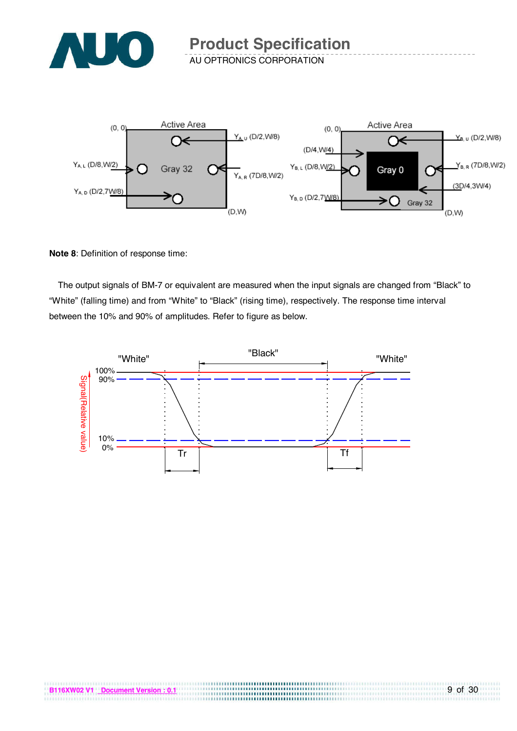



**Note 8**: Definition of response time:

The output signals of BM-7 or equivalent are measured when the input signals are changed from "Black" to "White" (falling time) and from "White" to "Black" (rising time), respectively. The response time interval between the 10% and 90% of amplitudes. Refer to figure as below.

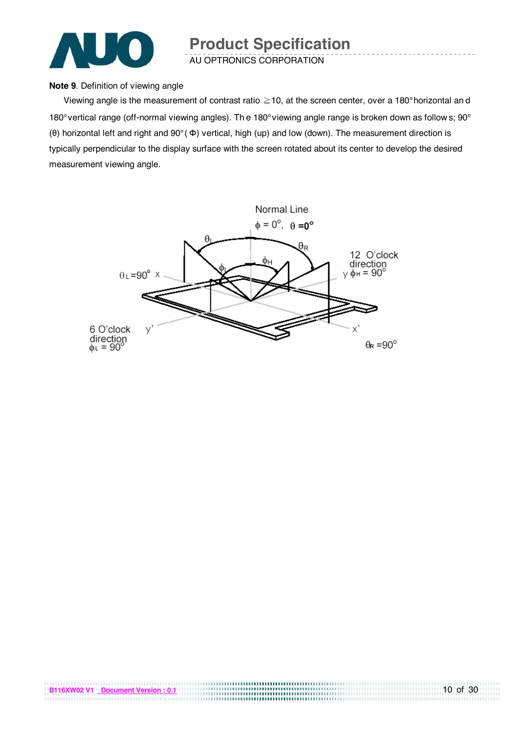

#### **Note 9**. Definition of viewing angle

Viewing angle is the measurement of contrast ratio  $\geq$  10, at the screen center, over a 180° horizontal an d 180° vertical range (off-normal viewing angles). Th e 180° viewing angle range is broken down as follow s; 90° (θ) horizontal left and right and 90° ( Φ) vertical, high (up) and low (down). The measurement direction is typically perpendicular to the display surface with the screen rotated about its center to develop the desired measurement viewing angle.

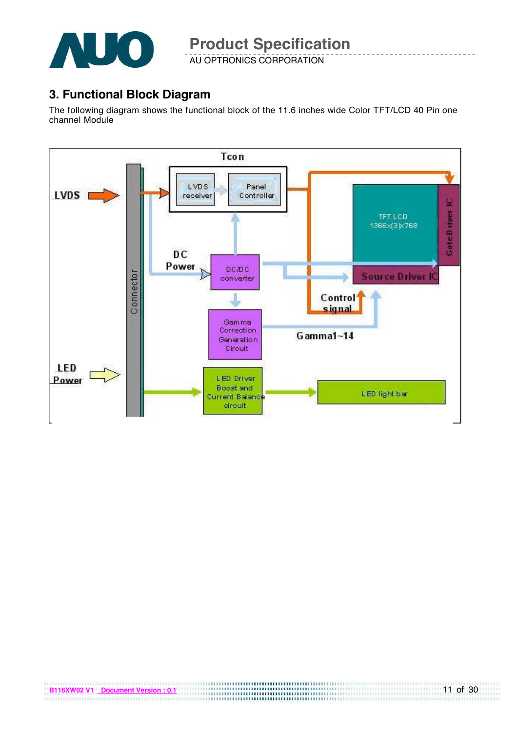

### **3. Functional Block Diagram**

The following diagram shows the functional block of the 11.6 inches wide Color TFT/LCD 40 Pin one channel Module

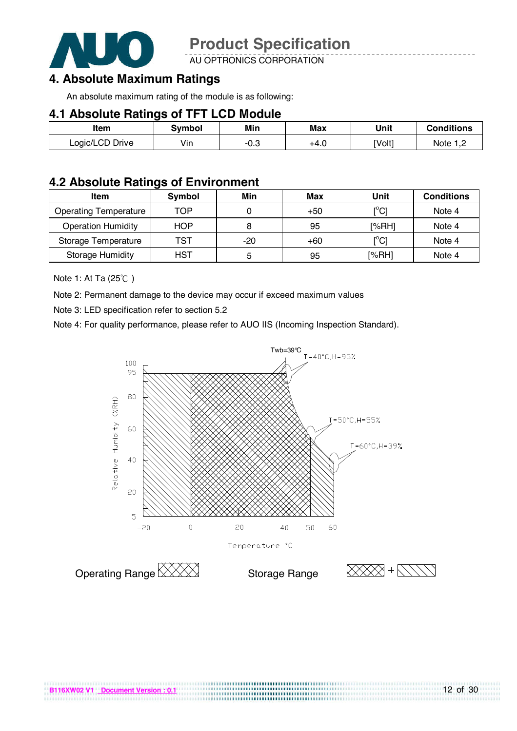

AU OPTRONICS CORPORATION

### **4. Absolute Maximum Ratings**

An absolute maximum rating of the module is as following:

#### **4.1 Absolute Ratings of TFT LCD Module**

| Item            | Svmbol | Min  | Max  | Unit   | <b>Conditions</b>    |
|-----------------|--------|------|------|--------|----------------------|
| Logic/LCD Drive | Vin    | -∪.ఎ | +4.0 | [Volt] | Note 1. <sup>r</sup> |

#### **4.2 Absolute Ratings of Environment**

| <b>Item</b>                  | Symbol     | Min   | Max   | Unit                                    | <b>Conditions</b> |
|------------------------------|------------|-------|-------|-----------------------------------------|-------------------|
| <b>Operating Temperature</b> | TOP        |       | $+50$ | $\mathsf{I}^\circ\mathsf{C} \mathsf{I}$ | Note 4            |
| <b>Operation Humidity</b>    | <b>HOP</b> | 8     | 95    | [%RH]                                   | Note 4            |
| Storage Temperature          | TST        | $-20$ | $+60$ | $\mathsf{I}^\circ\mathsf{C} \mathsf{I}$ | Note 4            |
| <b>Storage Humidity</b>      | HST        | ь     | 95    | [%RH]                                   | Note 4            |

Note 1: At Ta  $(25^{\circ}$ C)

Note 2: Permanent damage to the device may occur if exceed maximum values

Note 3: LED specification refer to section 5.2

Note 4: For quality performance, please refer to AUO IIS (Incoming Inspection Standard).



..............................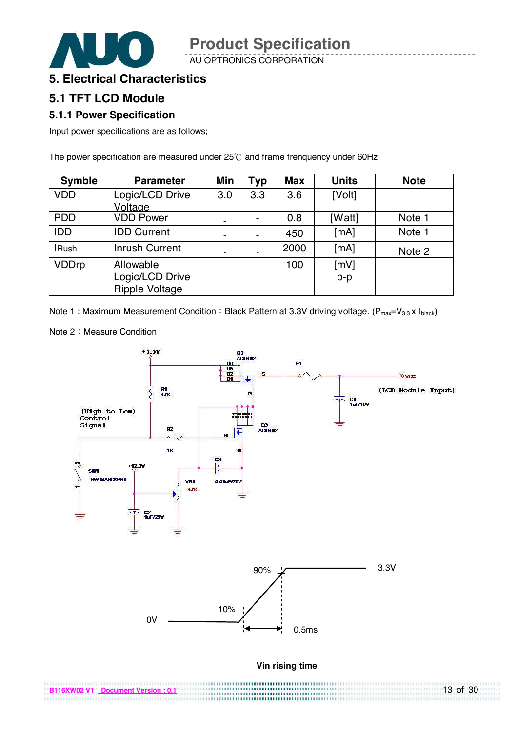AU OPTRONICS CORPORATION



### **5. Electrical Characteristics**

#### **5.1 TFT LCD Module**

#### **5.1.1 Power Specification**

Input power specifications are as follows;

The power specification are measured under  $25^{\circ}$ C and frame frenquency under 60Hz

| <b>Symble</b> | <b>Parameter</b>                                      | Min | <b>Typ</b> | <b>Max</b> | <b>Units</b>  | <b>Note</b> |
|---------------|-------------------------------------------------------|-----|------------|------------|---------------|-------------|
| <b>VDD</b>    | Logic/LCD Drive<br>Voltage                            | 3.0 | 3.3        | 3.6        | [Volt]        |             |
| <b>PDD</b>    | <b>VDD Power</b>                                      | -   |            | 0.8        | [Watt]        | Note 1      |
| <b>IDD</b>    | <b>IDD Current</b>                                    | ٠   | -          | 450        | [MA]          | Note 1      |
| <b>IRush</b>  | <b>Inrush Current</b>                                 | ٠   |            | 2000       | [MA]          | Note 2      |
| <b>VDDrp</b>  | Allowable<br>Logic/LCD Drive<br><b>Ripple Voltage</b> |     |            | 100        | [mV]<br>$p-p$ |             |

Note 1 : Maximum Measurement Condition : Black Pattern at 3.3V driving voltage. ( $P_{max}=V_{3.3}$  x  $I_{black}$ )

Note 2: Measure Condition

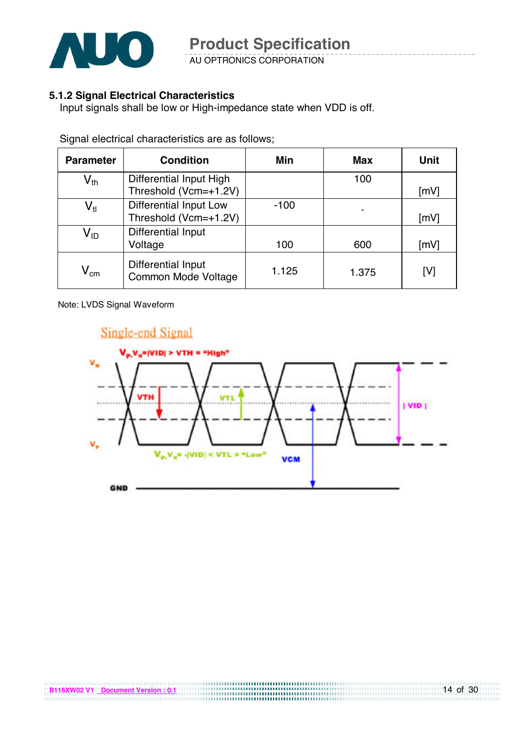

AU OPTRONICS CORPORATION

#### **5.1.2 Signal Electrical Characteristics**

Input signals shall be low or High-impedance state when VDD is off.

| <b>Parameter</b>           | <b>Condition</b>                                       | Min    | <b>Max</b> | <b>Unit</b>        |
|----------------------------|--------------------------------------------------------|--------|------------|--------------------|
| $\mathsf{V}_{\mathsf{th}}$ | Differential Input High<br>Threshold (Vcm=+1.2V)       |        | 100        | $\lceil mV \rceil$ |
| $\mathsf{V}_{\mathsf{tl}}$ | <b>Differential Input Low</b><br>Threshold (Vcm=+1.2V) | $-100$ |            | [mV]               |
| $\mathsf{V}_{\mathsf{ID}}$ | Differential Input<br>Voltage                          | 100    | 600        | [mV]               |
| $\mathsf{V}_{\mathsf{cm}}$ | Differential Input<br>Common Mode Voltage              | 1.125  | 1.375      | [V]                |

Signal electrical characteristics are as follows;

Note: LVDS Signal Waveform



,,,,,,,,,,,,,,,,,,,,,,,,,,,,,,,,,,,,,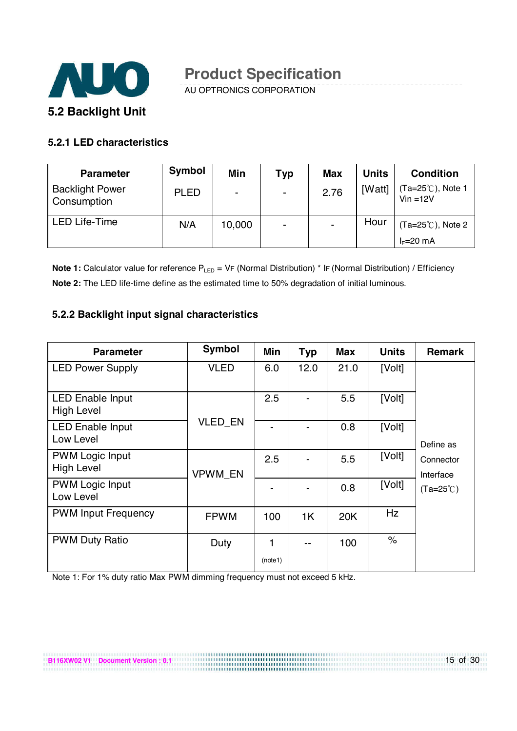

AU OPTRONICS CORPORATION

#### **5.2.1 LED characteristics**

**B116XW02 V1 Document Version : 0.1**

| <b>Parameter</b>                      | Symbol      | <b>Min</b>     | Typ                      | <b>Max</b> | <b>Units</b> | <b>Condition</b>                |
|---------------------------------------|-------------|----------------|--------------------------|------------|--------------|---------------------------------|
| <b>Backlight Power</b><br>Consumption | <b>PLED</b> | $\blacksquare$ | $\overline{\phantom{0}}$ | 2.76       | [Watt]       | (Ta=25℃), Note 1<br>$Vin = 12V$ |
| <b>LED Life-Time</b>                  | N/A         | 10,000         | $\blacksquare$           |            | Hour         | $(Ta=25^{\circ}C)$ , Note 2     |
|                                       |             |                |                          |            |              | $I_F=20$ mA                     |

**Note 1:** Calculator value for reference P<sub>LED</sub> = VF (Normal Distribution) \* IF (Normal Distribution) / Efficiency **Note 2:** The LED life-time define as the estimated time to 50% degradation of initial luminous.

#### **5.2.2 Backlight input signal characteristics**

| <b>Parameter</b>                             | <b>Symbol</b> | Min     | <b>Typ</b>     | <b>Max</b> | <b>Units</b> | <b>Remark</b>          |
|----------------------------------------------|---------------|---------|----------------|------------|--------------|------------------------|
| <b>LED Power Supply</b>                      | <b>VLED</b>   | 6.0     | 12.0           | 21.0       | [Volt]       |                        |
| <b>LED Enable Input</b><br><b>High Level</b> |               | 2.5     | -              | 5.5        | [Volt]       |                        |
| <b>LED Enable Input</b><br>Low Level         | VLED_EN       |         |                | 0.8        | [Volt]       | Define as              |
| <b>PWM Logic Input</b><br><b>High Level</b>  | VPWM_EN       | 2.5     |                | 5.5        | [Volt]       | Connector<br>Interface |
| <b>PWM Logic Input</b><br>Low Level          |               |         |                | 0.8        | [Volt]       | $(Ta=25^{\circ}C)$     |
| <b>PWM Input Frequency</b>                   | <b>FPWM</b>   | 100     | 1 <sup>K</sup> | 20K        | Hz           |                        |
| <b>PWM Duty Ratio</b>                        | Duty          | (note1) | --             | 100        | $\%$         |                        |
|                                              |               |         |                |            |              |                        |

Note 1: For 1% duty ratio Max PWM dimming frequency must not exceed 5 kHz.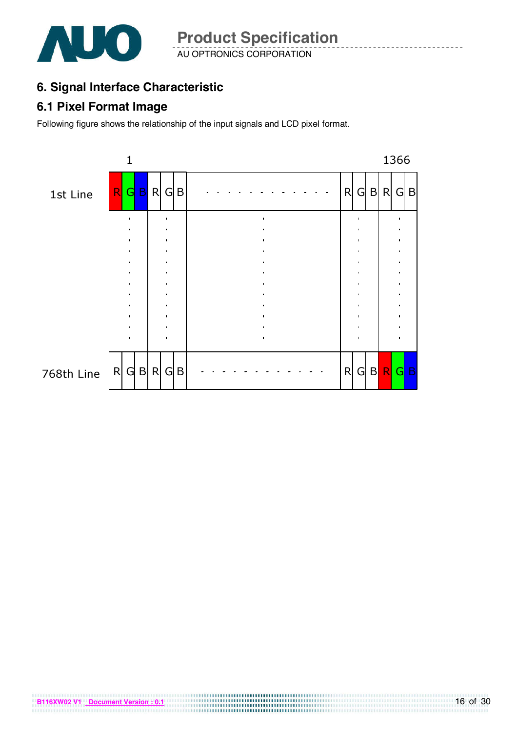

AU OPTRONICS CORPORATION **Product Specification** 

# **6. Signal Interface Characteristic**

### **6.1 Pixel Format Image**

**B116XW02 V1 Document Version : 0.1**

Following figure shows the relationship of the input signals and LCD pixel format.

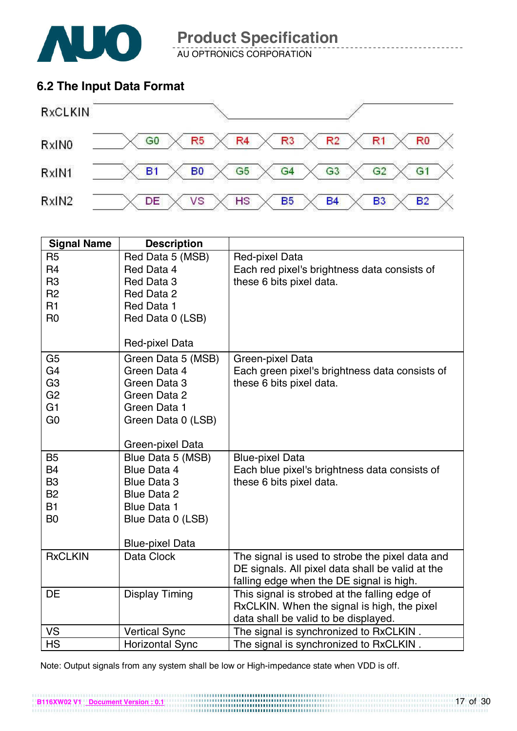

AU OPTRONICS CORPORATION

## **6.2 The Input Data Format**



| <b>Signal Name</b> | <b>Description</b>     |                                                  |
|--------------------|------------------------|--------------------------------------------------|
| R <sub>5</sub>     | Red Data 5 (MSB)       | Red-pixel Data                                   |
| R <sub>4</sub>     | Red Data 4             | Each red pixel's brightness data consists of     |
| R <sub>3</sub>     | Red Data 3             | these 6 bits pixel data.                         |
| R <sub>2</sub>     | Red Data 2             |                                                  |
| R <sub>1</sub>     | Red Data 1             |                                                  |
| R <sub>0</sub>     | Red Data 0 (LSB)       |                                                  |
|                    |                        |                                                  |
|                    | Red-pixel Data         |                                                  |
| G <sub>5</sub>     | Green Data 5 (MSB)     | Green-pixel Data                                 |
| G <sub>4</sub>     | Green Data 4           | Each green pixel's brightness data consists of   |
| G <sub>3</sub>     | Green Data 3           | these 6 bits pixel data.                         |
| G <sub>2</sub>     | Green Data 2           |                                                  |
| G <sub>1</sub>     | Green Data 1           |                                                  |
| G <sub>0</sub>     | Green Data 0 (LSB)     |                                                  |
|                    |                        |                                                  |
|                    | Green-pixel Data       |                                                  |
| <b>B5</b>          | Blue Data 5 (MSB)      | <b>Blue-pixel Data</b>                           |
| <b>B4</b>          | Blue Data 4            | Each blue pixel's brightness data consists of    |
| B <sub>3</sub>     | <b>Blue Data 3</b>     | these 6 bits pixel data.                         |
| <b>B2</b>          | <b>Blue Data 2</b>     |                                                  |
| <b>B1</b>          | <b>Blue Data 1</b>     |                                                  |
| B <sub>0</sub>     | Blue Data 0 (LSB)      |                                                  |
|                    |                        |                                                  |
|                    | <b>Blue-pixel Data</b> |                                                  |
| <b>RxCLKIN</b>     | Data Clock             | The signal is used to strobe the pixel data and  |
|                    |                        | DE signals. All pixel data shall be valid at the |
|                    |                        | falling edge when the DE signal is high.         |
| <b>DE</b>          | <b>Display Timing</b>  | This signal is strobed at the falling edge of    |
|                    |                        | RxCLKIN. When the signal is high, the pixel      |
|                    |                        | data shall be valid to be displayed.             |
| VS                 | <b>Vertical Sync</b>   | The signal is synchronized to RxCLKIN.           |
| <b>HS</b>          | <b>Horizontal Sync</b> | The signal is synchronized to RxCLKIN.           |

Note: Output signals from any system shall be low or High-impedance state when VDD is off.

**B116XW02 V1 Document Version : 0.1**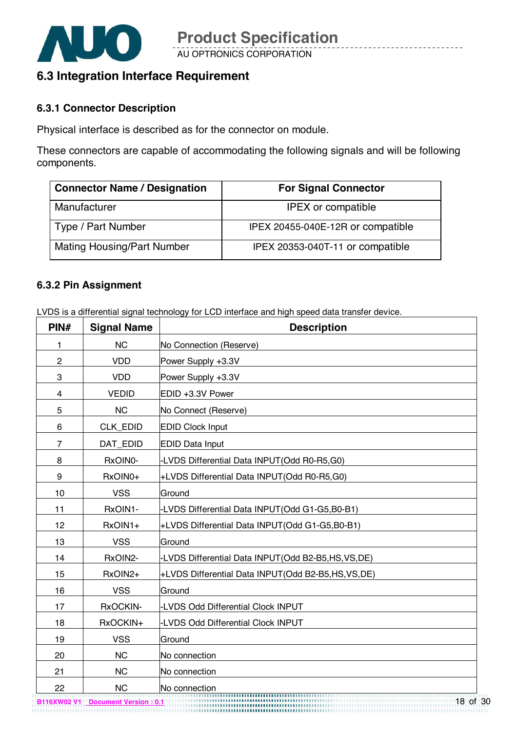

## **6.3 Integration Interface Requirement**

#### **6.3.1 Connector Description**

Physical interface is described as for the connector on module.

These connectors are capable of accommodating the following signals and will be following components.

| <b>Connector Name / Designation</b> | <b>For Signal Connector</b>       |  |  |  |  |
|-------------------------------------|-----------------------------------|--|--|--|--|
| Manufacturer                        | <b>IPEX</b> or compatible         |  |  |  |  |
| Type / Part Number                  | IPEX 20455-040E-12R or compatible |  |  |  |  |
| <b>Mating Housing/Part Number</b>   | IPEX 20353-040T-11 or compatible  |  |  |  |  |

#### **6.3.2 Pin Assignment**

LVDS is a differential signal technology for LCD interface and high speed data transfer device.

| PIN#           | <b>Signal Name</b> | <b>Description</b>                                |
|----------------|--------------------|---------------------------------------------------|
| 1              | <b>NC</b>          | No Connection (Reserve)                           |
| $\overline{c}$ | <b>VDD</b>         | Power Supply +3.3V                                |
| 3              | <b>VDD</b>         | Power Supply +3.3V                                |
| 4              | <b>VEDID</b>       | EDID +3.3V Power                                  |
| 5              | <b>NC</b>          | No Connect (Reserve)                              |
| 6              | CLK_EDID           | <b>EDID Clock Input</b>                           |
| $\overline{7}$ | DAT_EDID           | <b>EDID Data Input</b>                            |
| 8              | RxOIN0-            | -LVDS Differential Data INPUT(Odd R0-R5,G0)       |
| 9              | RxOIN0+            | +LVDS Differential Data INPUT(Odd R0-R5,G0)       |
| 10             | <b>VSS</b>         | Ground                                            |
| 11             | RxOIN1-            | -LVDS Differential Data INPUT(Odd G1-G5,B0-B1)    |
| 12             | RxOIN1+            | +LVDS Differential Data INPUT(Odd G1-G5,B0-B1)    |
| 13             | <b>VSS</b>         | Ground                                            |
| 14             | RxOIN2-            | -LVDS Differential Data INPUT(Odd B2-B5,HS,VS,DE) |
| 15             | RxOIN2+            | +LVDS Differential Data INPUT(Odd B2-B5,HS,VS,DE) |
| 16             | <b>VSS</b>         | Ground                                            |
| 17             | RxOCKIN-           | -LVDS Odd Differential Clock INPUT                |
| 18             | RxOCKIN+           | -LVDS Odd Differential Clock INPUT                |
| 19             | <b>VSS</b>         | Ground                                            |
| 20             | <b>NC</b>          | No connection                                     |
| 21             | <b>NC</b>          | No connection                                     |
| 22             | <b>NC</b>          | No connection                                     |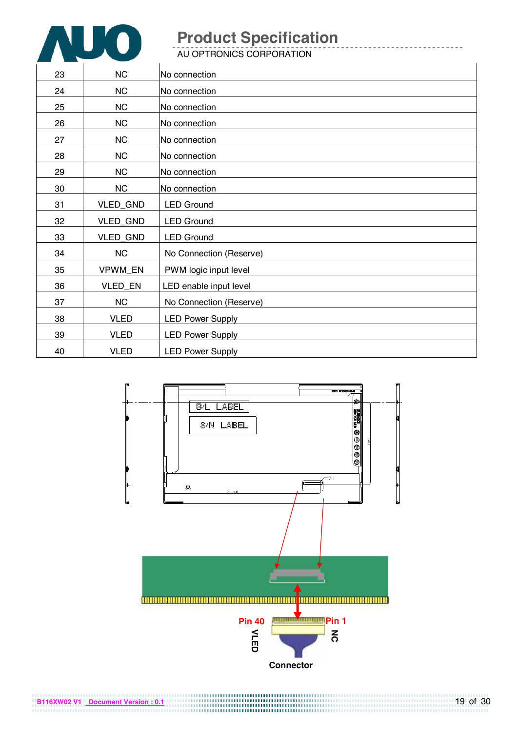

**B116XW02 V1 Document Version : 0.1**

# **Product Specification**

AU OPTRONICS CORPORATION

| 23 | <b>NC</b>   | No connection           |
|----|-------------|-------------------------|
| 24 | <b>NC</b>   | No connection           |
| 25 | <b>NC</b>   | No connection           |
| 26 | <b>NC</b>   | No connection           |
| 27 | <b>NC</b>   | No connection           |
| 28 | NC          | No connection           |
| 29 | NC          | No connection           |
| 30 | <b>NC</b>   | No connection           |
| 31 | VLED_GND    | <b>LED Ground</b>       |
| 32 | VLED_GND    | <b>LED Ground</b>       |
| 33 | VLED_GND    | <b>LED Ground</b>       |
| 34 | NC          | No Connection (Reserve) |
| 35 | VPWM_EN     | PWM logic input level   |
| 36 | VLED_EN     | LED enable input level  |
| 37 | <b>NC</b>   | No Connection (Reserve) |
| 38 | <b>VLED</b> | <b>LED Power Supply</b> |
| 39 | <b>VLED</b> | <b>LED Power Supply</b> |
| 40 | <b>VLED</b> | <b>LED Power Supply</b> |

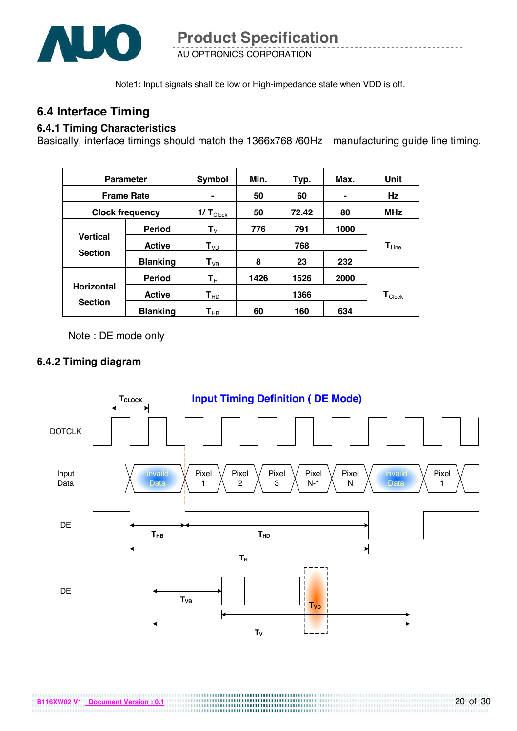

Note1: Input signals shall be low or High-impedance state when VDD is off.

### **6.4 Interface Timing**

#### **6.4.1 Timing Characteristics**

Basically, interface timings should match the 1366x768 /60Hz manufacturing guide line timing.

| <b>Parameter</b>       |                 | Symbol                | Min. | Typ.  | Max. | Unit                         |  |
|------------------------|-----------------|-----------------------|------|-------|------|------------------------------|--|
| <b>Frame Rate</b>      |                 |                       | 50   | 60    |      | Hz                           |  |
| <b>Clock frequency</b> |                 | $1/T_{\text{Clock}}$  | 50   | 72.42 | 80   | <b>MHz</b>                   |  |
|                        | <b>Period</b>   | ${\bf T}_{\rm V}$     | 776  | 791   | 1000 |                              |  |
| <b>Vertical</b>        | <b>Active</b>   | $T_{VD}$              | 768  |       |      | $\mathbf{T}_{\mathsf{Line}}$ |  |
| <b>Section</b>         | <b>Blanking</b> | $T_{VB}$              | 8    | 23    | 232  |                              |  |
|                        | <b>Period</b>   | $T_{\rm H}$           | 1426 | 1526  | 2000 |                              |  |
| <b>Horizontal</b>      | <b>Active</b>   | $\mathbf{T}_{\sf HD}$ |      | 1366  |      | $\mathbf{T}_{\text{Clock}}$  |  |
| <b>Section</b>         | <b>Blanking</b> | $\textbf{T}_{\sf HB}$ | 60   | 160   | 634  |                              |  |

Note : DE mode only

#### **6.4.2 Timing diagram**

**B116XW02 V1 Document Version : 0.1**

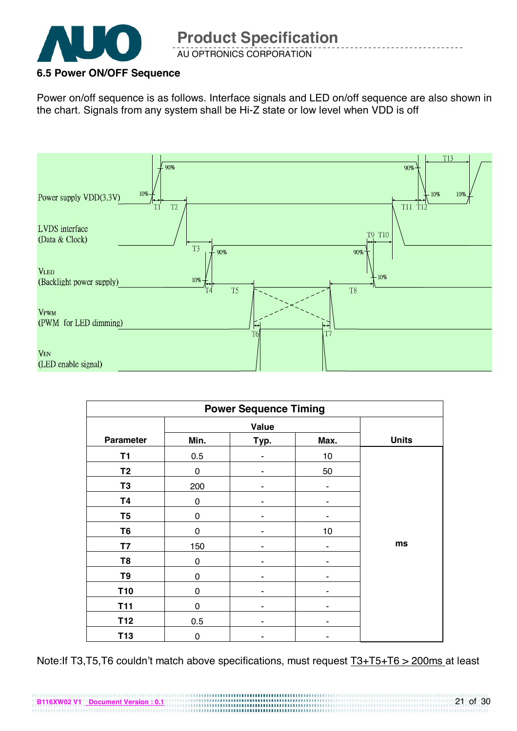

#### **6.5 Power ON/OFF Sequence**

**B116XW02 V1 Document Version : 0.1**

Power on/off sequence is as follows. Interface signals and LED on/off sequence are also shown in the chart. Signals from any system shall be Hi-Z state or low level when VDD is off



| <b>Power Sequence Timing</b> |             |              |      |              |  |  |
|------------------------------|-------------|--------------|------|--------------|--|--|
|                              |             | <b>Value</b> |      |              |  |  |
| <b>Parameter</b>             | Min.        | Typ.         | Max. | <b>Units</b> |  |  |
| T <sub>1</sub>               | 0.5         |              | 10   |              |  |  |
| T <sub>2</sub>               | $\mathbf 0$ |              | 50   |              |  |  |
| T <sub>3</sub>               | 200         |              |      |              |  |  |
| <b>T4</b>                    | 0           |              |      |              |  |  |
| T <sub>5</sub>               | 0           |              |      |              |  |  |
| T <sub>6</sub>               | $\mathbf 0$ |              | 10   |              |  |  |
| <b>T7</b>                    | 150         |              |      | ms           |  |  |
| T <sub>8</sub>               | 0           |              |      |              |  |  |
| T9                           | 0           | ٠            |      |              |  |  |
| T <sub>10</sub>              | 0           |              |      |              |  |  |
| <b>T11</b>                   | $\mathbf 0$ |              |      |              |  |  |
| T <sub>12</sub>              | 0.5         |              |      |              |  |  |
| T <sub>13</sub>              | 0           |              |      |              |  |  |

Note:If T3,T5,T6 couldn't match above specifications, must request T3+T5+T6 > 200ms at least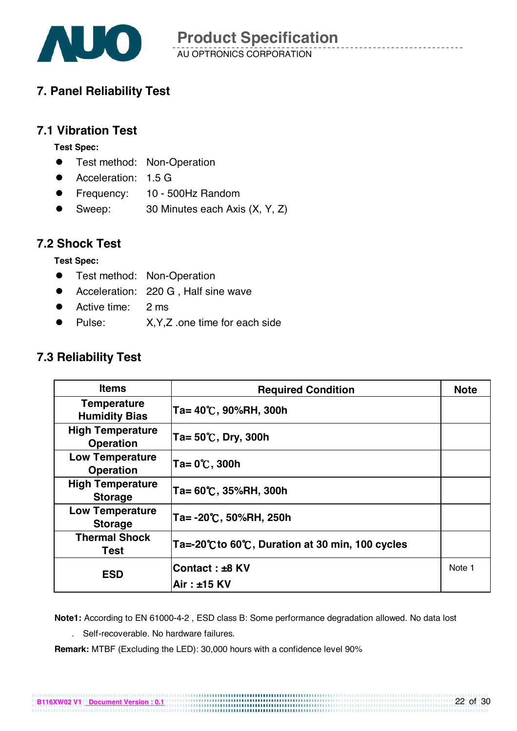

# **7. Panel Reliability Test**

#### **7.1 Vibration Test**

**Test Spec:** 

- **•** Test method: Non-Operation
- Acceleration: 1.5 G
- Frequency: 10 500Hz Random
- Sweep: 30 Minutes each Axis (X, Y, Z)

#### **7.2 Shock Test**

**Test Spec:** 

- **•** Test method: Non-Operation
- **•** Acceleration: 220 G, Half sine wave
- Active time: 2 ms
- Pulse: X, Y, Z .one time for each side

### **7.3 Reliability Test**

| <b>Items</b>                                | <b>Required Condition</b>                      | <b>Note</b> |
|---------------------------------------------|------------------------------------------------|-------------|
| <b>Temperature</b><br><b>Humidity Bias</b>  | Ta= 40℃, 90%RH, 300h                           |             |
| <b>High Temperature</b><br><b>Operation</b> | $Ta = 50^{\circ}$ C, Dry, 300h                 |             |
| <b>Low Temperature</b><br><b>Operation</b>  | $Ta = 0^{\circ}C$ , 300h                       |             |
| <b>High Temperature</b><br><b>Storage</b>   | Ta= 60℃, 35%RH, 300h                           |             |
| <b>Low Temperature</b><br><b>Storage</b>    | Ta= -20℃, 50%RH, 250h                          |             |
| <b>Thermal Shock</b><br>Test                | Ta=-20℃ to 60℃, Duration at 30 min, 100 cycles |             |
| <b>ESD</b>                                  | Contact: ±8 KV<br>Air: ±15 KV                  | Note 1      |

**Note1:** According to EN 61000-4-2 , ESD class B: Some performance degradation allowed. No data lost

. Self-recoverable. No hardware failures.

**B116XW02 V1 Document Version : 0.1**

**Remark:** MTBF (Excluding the LED): 30,000 hours with a confidence level 90%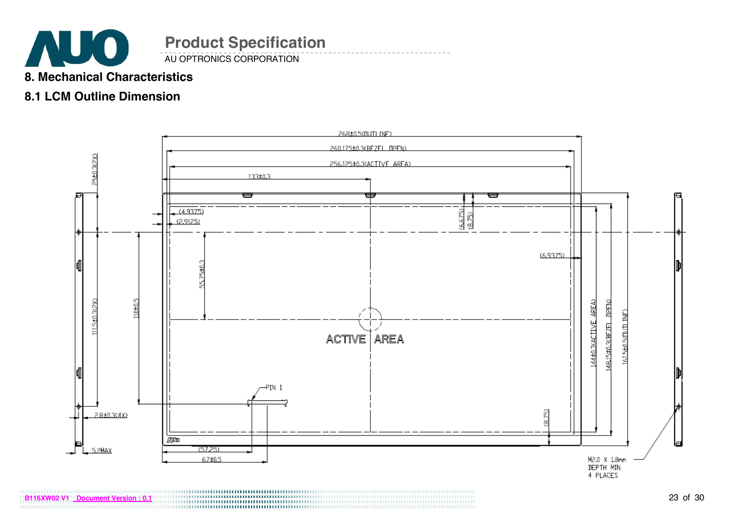

AU OPTRONICS CORPORATION

### **8. Mechanical Characteristics**

## **8.1 LCM Outline Dimension**

**B116XW02 V1 Document Version : 0.1**

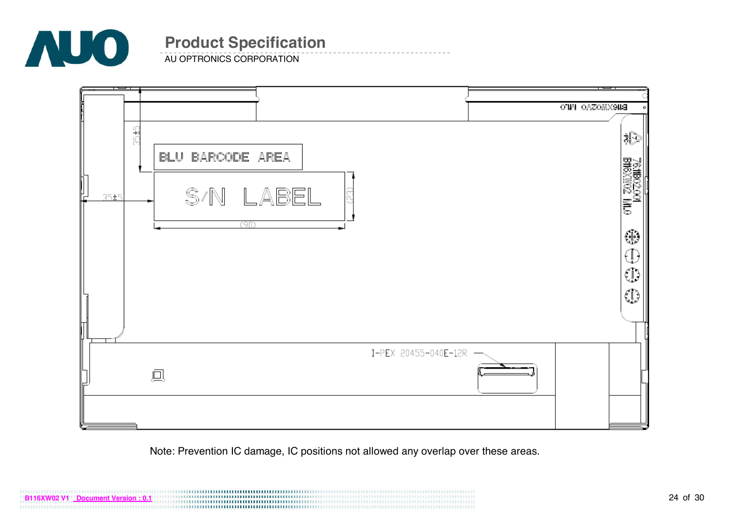

AU OPTRONICS CORPORATION



Note: Prevention IC damage, IC positions not allowed any overlap over these areas.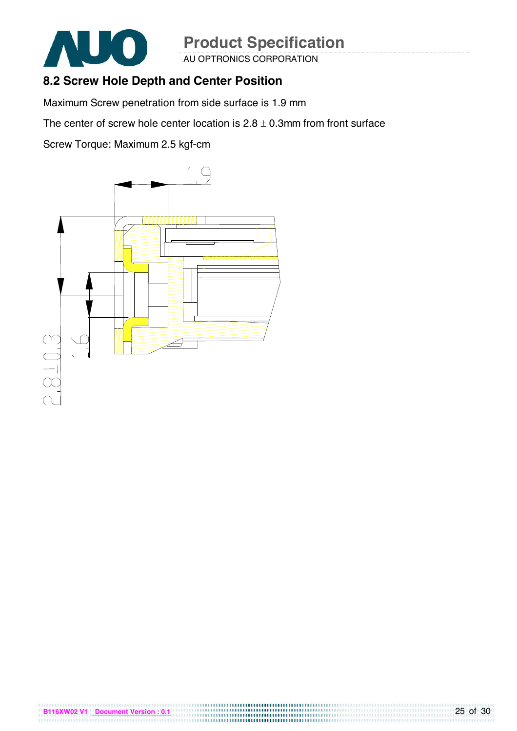

AU OPTRONICS CORPORATION

## **8.2 Screw Hole Depth and Center Position**

Maximum Screw penetration from side surface is 1.9 mm

The center of screw hole center location is  $2.8 \pm 0.3$ mm from front surface

Screw Torque: Maximum 2.5 kgf-cm

**B116XW02 V1 Document Version : 0.1**

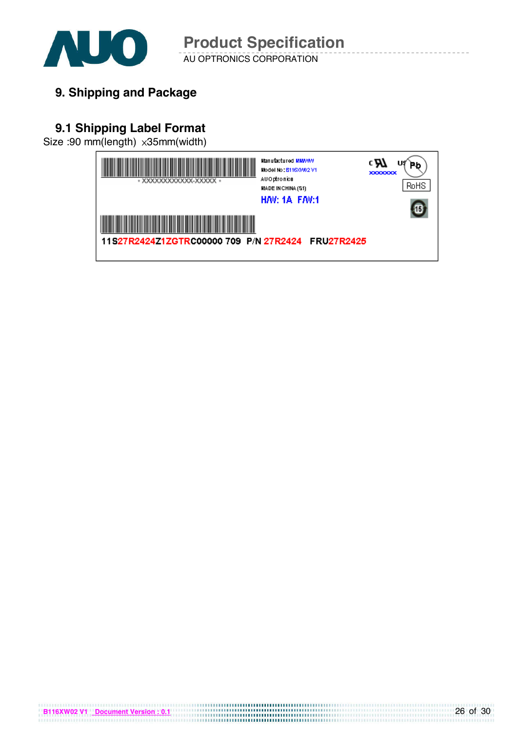

AU OPTRONICS CORPORATION **Product Specification** 

**9. Shipping and Package**

# **9.1 Shipping Label Format**

Size :90 mm(length) x35mm(width)

**B116XW02 V1 Document Version : 0.1**

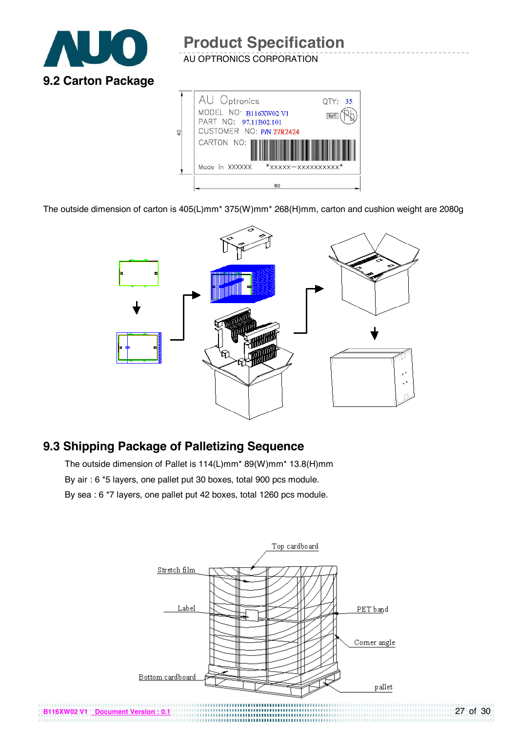

AU OPTRONICS CORPORATION



The outside dimension of carton is 405(L)mm\* 375(W)mm\* 268(H)mm, carton and cushion weight are 2080g



# **9.3 Shipping Package of Palletizing Sequence**

The outside dimension of Pallet is 114(L)mm\* 89(W)mm\* 13.8(H)mm By air : 6 \*5 layers, one pallet put 30 boxes, total 900 pcs module. By sea : 6 \*7 layers, one pallet put 42 boxes, total 1260 pcs module.

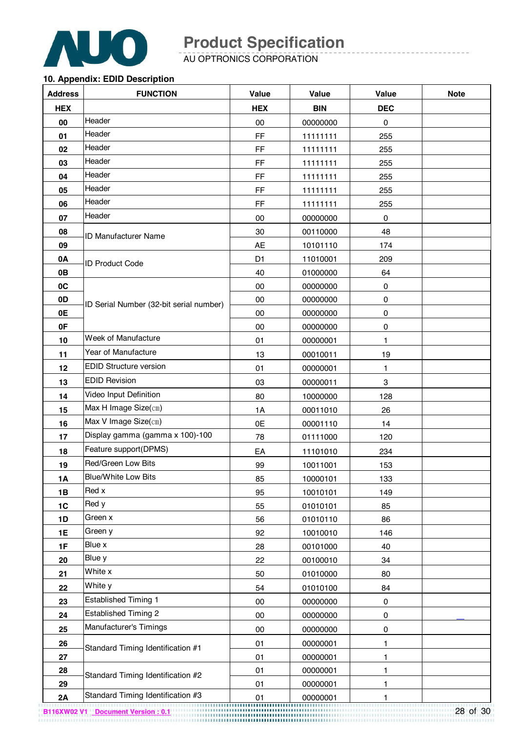

AU OPTRONICS CORPORATION

#### **10. Appendix: EDID Description**

| <b>Address</b> | <b>FUNCTION</b>                         | Value          | <b>Value</b> | <b>Value</b>              | <b>Note</b> |
|----------------|-----------------------------------------|----------------|--------------|---------------------------|-------------|
| <b>HEX</b>     |                                         | <b>HEX</b>     | <b>BIN</b>   | <b>DEC</b>                |             |
| 00             | Header                                  | 00             | 00000000     | 0                         |             |
| 01             | Header                                  | FF             | 11111111     | 255                       |             |
| 02             | Header                                  | FF             | 11111111     | 255                       |             |
| 03             | Header                                  | FF             | 11111111     | 255                       |             |
| 04             | Header                                  | FF             | 11111111     | 255                       |             |
| 05             | Header                                  | FF             | 11111111     | 255                       |             |
| 06             | Header                                  | FF             | 11111111     | 255                       |             |
| 07             | Header                                  | 00             | 00000000     | $\pmb{0}$                 |             |
| 08             | <b>ID Manufacturer Name</b>             | 30             | 00110000     | 48                        |             |
| 09             |                                         | <b>AE</b>      | 10101110     | 174                       |             |
| 0A             | <b>ID Product Code</b>                  | D <sub>1</sub> | 11010001     | 209                       |             |
| 0B             |                                         | 40             | 01000000     | 64                        |             |
| 0C             |                                         | 00             | 00000000     | $\pmb{0}$                 |             |
| 0D             | ID Serial Number (32-bit serial number) | $00\,$         | 00000000     | 0                         |             |
| 0E             |                                         | 00             | 00000000     | 0                         |             |
| 0F             |                                         | 00             | 00000000     | $\pmb{0}$                 |             |
| 10             | Week of Manufacture                     | 01             | 00000001     | 1                         |             |
| 11             | Year of Manufacture                     | 13             | 00010011     | 19                        |             |
| 12             | <b>EDID Structure version</b>           | 01             | 00000001     | 1                         |             |
| 13             | <b>EDID Revision</b>                    | 03             | 00000011     | $\ensuremath{\mathsf{3}}$ |             |
| 14             | Video Input Definition                  | 80             | 10000000     | 128                       |             |
| 15             | Max H Image Size(cm)                    | 1A             | 00011010     | 26                        |             |
| 16             | Max V Image Size(cm)                    | 0E             | 00001110     | 14                        |             |
| 17             | Display gamma (gamma x 100)-100         | 78             | 01111000     | 120                       |             |
| 18             | Feature support(DPMS)                   | EA             | 11101010     | 234                       |             |
| 19             | Red/Green Low Bits                      | 99             | 10011001     | 153                       |             |
| 1A             | <b>Blue/White Low Bits</b>              | 85             | 10000101     | 133                       |             |
| 1B             | Red x                                   | 95             | 10010101     | 149                       |             |
| 1C             | Red y                                   | 55             | 01010101     | 85                        |             |
| 1D             | Green x                                 | 56             | 01010110     | 86                        |             |
| 1E             | Green y                                 | 92             | 10010010     | 146                       |             |
| 1F             | Blue x                                  | 28             | 00101000     | 40                        |             |
| 20             | Blue y                                  | 22             | 00100010     | 34                        |             |
| 21             | White x                                 | 50             | 01010000     | 80                        |             |
| 22             | White y                                 | 54             | 01010100     | 84                        |             |
| 23             | <b>Established Timing 1</b>             | 00             | 00000000     | $\pmb{0}$                 |             |
| 24             | <b>Established Timing 2</b>             | 00             | 00000000     | $\pmb{0}$                 |             |
| 25             | Manufacturer's Timings                  | 00             | 00000000     | $\pmb{0}$                 |             |
| 26             | Standard Timing Identification #1       | 01             | 00000001     | 1                         |             |
| 27             |                                         | 01             | 00000001     | 1                         |             |
| 28             | Standard Timing Identification #2       | 01             | 00000001     | 1                         |             |
| 29             |                                         | 01             | 00000001     | 1                         |             |
| 2A             | Standard Timing Identification #3       | 01             | 00000001     | 1                         |             |

28 of 30 **B116XW02 V1 Document Version : 0.1**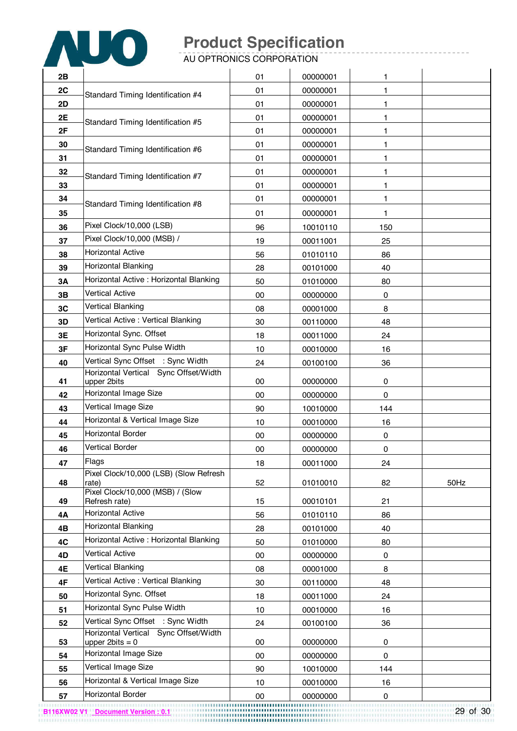

AU OPTRONICS CORPORATION

| 2B |                                                              | 01 | 00000001 | 1   |      |
|----|--------------------------------------------------------------|----|----------|-----|------|
| 2C |                                                              | 01 | 00000001 | 1   |      |
| 2D | Standard Timing Identification #4                            | 01 | 00000001 | 1   |      |
| 2E |                                                              | 01 | 00000001 | 1   |      |
| 2F | Standard Timing Identification #5                            | 01 | 00000001 | 1   |      |
| 30 |                                                              | 01 | 00000001 | 1   |      |
| 31 | Standard Timing Identification #6                            | 01 | 00000001 | 1   |      |
| 32 |                                                              | 01 | 00000001 | 1   |      |
| 33 | Standard Timing Identification #7                            | 01 | 00000001 | 1   |      |
| 34 |                                                              | 01 | 00000001 | 1   |      |
| 35 | Standard Timing Identification #8                            | 01 | 00000001 | 1   |      |
| 36 | Pixel Clock/10,000 (LSB)                                     | 96 | 10010110 | 150 |      |
| 37 | Pixel Clock/10,000 (MSB) /                                   | 19 | 00011001 | 25  |      |
| 38 | <b>Horizontal Active</b>                                     | 56 | 01010110 | 86  |      |
| 39 | Horizontal Blanking                                          | 28 | 00101000 | 40  |      |
| 3A | Horizontal Active : Horizontal Blanking                      | 50 | 01010000 | 80  |      |
| 3B | <b>Vertical Active</b>                                       | 00 | 00000000 | 0   |      |
| 3C | Vertical Blanking                                            | 08 | 00001000 | 8   |      |
| 3D | Vertical Active : Vertical Blanking                          | 30 | 00110000 | 48  |      |
| 3E | Horizontal Sync. Offset                                      | 18 | 00011000 | 24  |      |
| 3F | Horizontal Sync Pulse Width                                  | 10 | 00010000 | 16  |      |
| 40 | Vertical Sync Offset : Sync Width                            | 24 | 00100100 | 36  |      |
|    | Horizontal Vertical Sync Offset/Width                        |    |          |     |      |
| 41 | upper 2bits<br>Horizontal Image Size                         | 00 | 00000000 | 0   |      |
| 42 | Vertical Image Size                                          | 00 | 00000000 | 0   |      |
| 43 |                                                              | 90 | 10010000 | 144 |      |
| 44 | Horizontal & Vertical Image Size<br><b>Horizontal Border</b> | 10 | 00010000 | 16  |      |
| 45 | <b>Vertical Border</b>                                       | 00 | 00000000 | 0   |      |
| 46 | Flags                                                        | 00 | 00000000 | 0   |      |
| 47 | Pixel Clock/10,000 (LSB) (Slow Refresh                       | 18 | 00011000 | 24  |      |
| 48 | rate)                                                        | 52 | 01010010 | 82  | 50Hz |
| 49 | Pixel Clock/10,000 (MSB) / (Slow<br>Refresh rate)            | 15 | 00010101 | 21  |      |
| 4Α | <b>Horizontal Active</b>                                     | 56 | 01010110 | 86  |      |
| 4B | Horizontal Blanking                                          | 28 | 00101000 | 40  |      |
| 4C | Horizontal Active: Horizontal Blanking                       | 50 | 01010000 | 80  |      |
| 4D | <b>Vertical Active</b>                                       | 00 | 00000000 | 0   |      |
| 4E | Vertical Blanking                                            | 08 | 00001000 | 8   |      |
| 4F | Vertical Active: Vertical Blanking                           | 30 | 00110000 | 48  |      |
| 50 | Horizontal Sync. Offset                                      | 18 | 00011000 | 24  |      |
| 51 | Horizontal Sync Pulse Width                                  | 10 | 00010000 | 16  |      |
| 52 | Vertical Sync Offset : Sync Width                            | 24 | 00100100 | 36  |      |
|    | Horizontal Vertical Sync Offset/Width                        |    |          |     |      |
| 53 | upper $2bits = 0$<br>Horizontal Image Size                   | 00 | 00000000 | 0   |      |
| 54 | Vertical Image Size                                          | 00 | 00000000 | 0   |      |
| 55 | Horizontal & Vertical Image Size                             | 90 | 10010000 | 144 |      |
| 56 | Horizontal Border                                            | 10 | 00010000 | 16  |      |
| 57 |                                                              | 00 | 00000000 | 0   |      |

29 of 30 **B116XW02 V1 Document Version : 0.1**